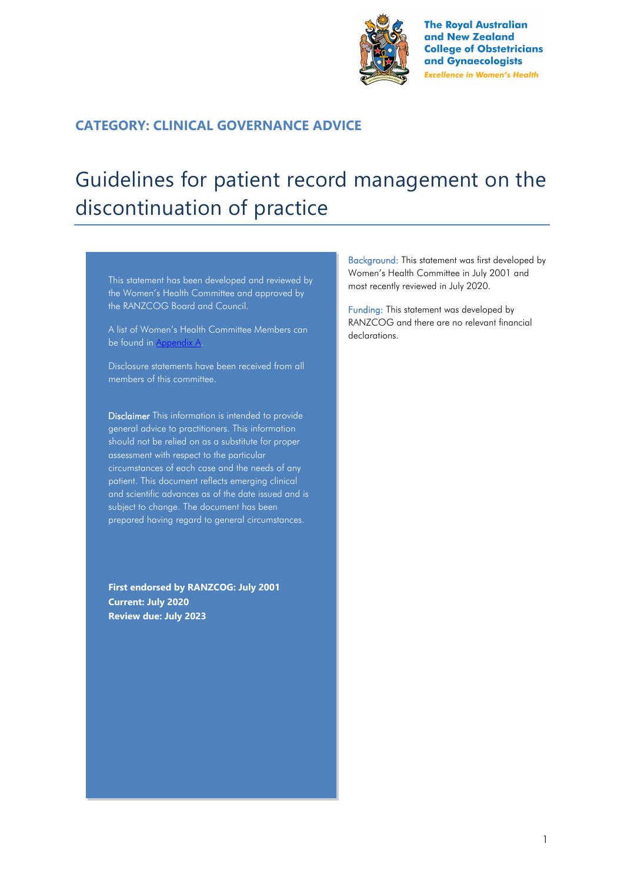

**The Royal Australian** and New Zealand **College of Obstetricians** and Gynaecologists **Excellence in Women's Health** 

## **CATEGORY: CLINICAL GOVERNANCE ADVICE**

# Guidelines for patient record management on the discontinuation of practice

This statement has been developed and reviewed by the Women's Health Committee and approved by the RANZCOG Board and Council.

A list of Women's Health Committee Members can be found in Appendix A.

Disclosure statements have been received from all members of this committee.

Disclaimer This information is intended to provide general advice to practitioners. This information should not be relied on as a substitute for proper assessment with respect to the particular circumstances of each case and the needs of any patient. This document reflects emerging clinical and scientific advances as of the date issued and is subject to change. The document has been prepared having regard to general circumstances.

**First endorsed by RANZCOG: July 2001 Current: July 2020 Review due: July 2023**

Background: This statement was first developed by Women's Health Committee in July 2001 and most recently reviewed in July 2020.

Funding: This statement was developed by RANZCOG and there are no relevant financial declarations.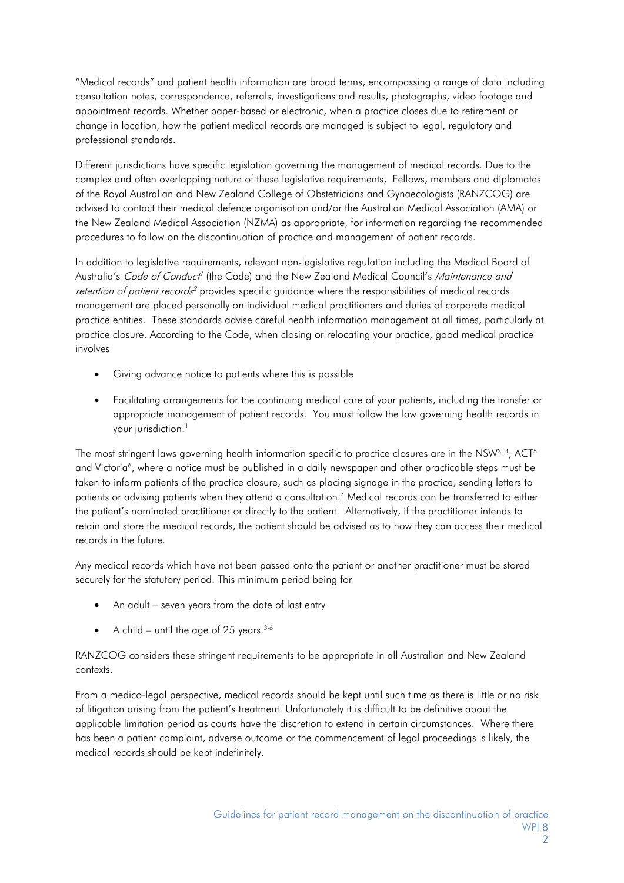"Medical records" and patient health information are broad terms, encompassing a range of data including consultation notes, correspondence, referrals, investigations and results, photographs, video footage and appointment records. Whether paper-based or electronic, when a practice closes due to retirement or change in location, how the patient medical records are managed is subject to legal, regulatory and professional standards.

Different jurisdictions have specific legislation governing the management of medical records. Due to the complex and often overlapping nature of these legislative requirements, Fellows, members and diplomates of the Royal Australian and New Zealand College of Obstetricians and Gynaecologists (RANZCOG) are advised to contact their medical defence organisation and/or the Australian Medical Association (AMA) or the New Zealand Medical Association (NZMA) as appropriate, for information regarding the recommended procedures to follow on the discontinuation of practice and management of patient records.

In addition to legislative requirements, relevant non-legislative regulation including the Medical Board of Australia's *Code of Conduct<sup>1</sup>* (the Code) and the New Zealand Medical Council's Maintenance and *retention of patient records<sup>2</sup>* provides specific guidance where the responsibilities of medical records management are placed personally on individual medical practitioners and duties of corporate medical practice entities. These standards advise careful health information management at all times, particularly at practice closure. According to the Code, when closing or relocating your practice, good medical practice involves

- Giving advance notice to patients where this is possible
- Facilitating arrangements for the continuing medical care of your patients, including the transfer or appropriate management of patient records. You must follow the law governing health records in your jurisdiction.<sup>1</sup>

The most stringent laws governing health information specific to practice closures are in the NSW $3, 4$ , ACT $5$ and Victoria<sup>6</sup>, where a notice must be published in a daily newspaper and other practicable steps must be taken to inform patients of the practice closure, such as placing signage in the practice, sending letters to patients or advising patients when they attend a consultation. [7](#page-2-6) Medical records can be transferred to either the patient's nominated practitioner or directly to the patient. Alternatively, if the practitioner intends to retain and store the medical records, the patient should be advised as to how they can access their medical records in the future.

Any medical records which have not been passed onto the patient or another practitioner must be stored securely for the statutory period. This minimum period being for

- An adult seven years from the date of last entry
- A child until the age of 25 years.  $3-6$

RANZCOG considers these stringent requirements to be appropriate in all Australian and New Zealand contexts.

From a medico-legal perspective, medical records should be kept until such time as there is little or no risk of litigation arising from the patient's treatment. Unfortunately it is difficult to be definitive about the applicable limitation period as courts have the discretion to extend in certain circumstances. Where there has been a patient complaint, adverse outcome or the commencement of legal proceedings is likely, the medical records should be kept indefinitely.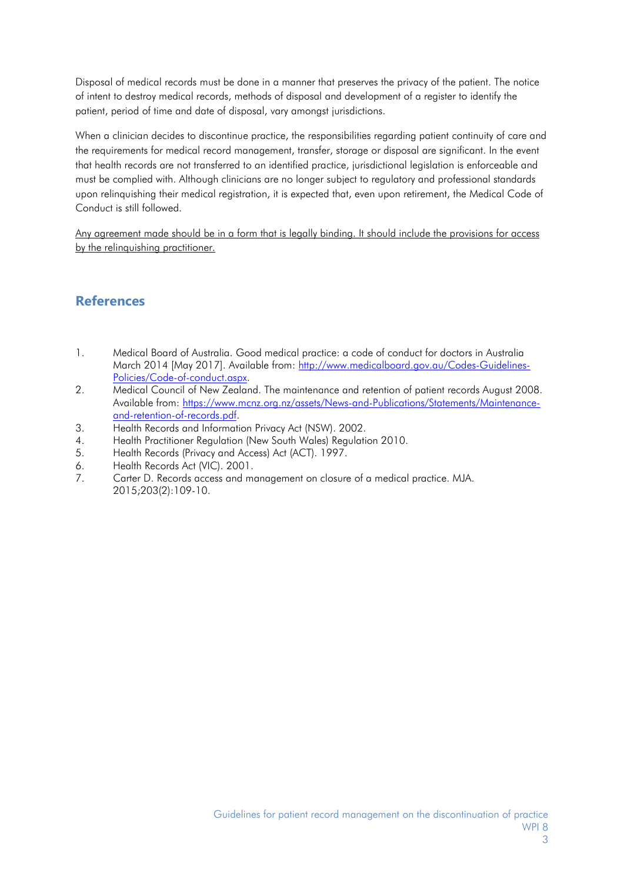Disposal of medical records must be done in a manner that preserves the privacy of the patient. The notice of intent to destroy medical records, methods of disposal and development of a register to identify the patient, period of time and date of disposal, vary amongst jurisdictions.

When a clinician decides to discontinue practice, the responsibilities regarding patient continuity of care and the requirements for medical record management, transfer, storage or disposal are significant. In the event that health records are not transferred to an identified practice, jurisdictional legislation is enforceable and must be complied with. Although clinicians are no longer subject to regulatory and professional standards upon relinquishing their medical registration, it is expected that, even upon retirement, the Medical Code of Conduct is still followed.

Any agreement made should be in a form that is legally binding. It should include the provisions for access by the relinquishing practitioner.

## **References**

- <span id="page-2-0"></span>1. Medical Board of Australia. Good medical practice: a code of conduct for doctors in Australia March 2014 [May 2017]. Available from: [http://www.medicalboard.gov.au/Codes-Guidelines-](http://www.medicalboard.gov.au/Codes-Guidelines-Policies/Code-of-conduct.aspx)[Policies/Code-of-conduct.aspx.](http://www.medicalboard.gov.au/Codes-Guidelines-Policies/Code-of-conduct.aspx)
- <span id="page-2-1"></span>2. Medical Council of New Zealand. The maintenance and retention of patient records August 2008. Available from: [https://www.mcnz.org.nz/assets/News-and-Publications/Statements/Maintenance](https://www.mcnz.org.nz/assets/News-and-Publications/Statements/Maintenance-and-retention-of-records.pdf)[and-retention-of-records.pdf.](https://www.mcnz.org.nz/assets/News-and-Publications/Statements/Maintenance-and-retention-of-records.pdf)
- <span id="page-2-2"></span>3. Health Records and Information Privacy Act (NSW). 2002.
- <span id="page-2-3"></span>4. Health Practitioner Regulation (New South Wales) Regulation 2010.
- <span id="page-2-4"></span>5. Health Records (Privacy and Access) Act (ACT). 1997.
- <span id="page-2-5"></span>6. Health Records Act (VIC). 2001.
- <span id="page-2-6"></span>7. Carter D. Records access and management on closure of a medical practice. MJA. 2015;203(2):109-10.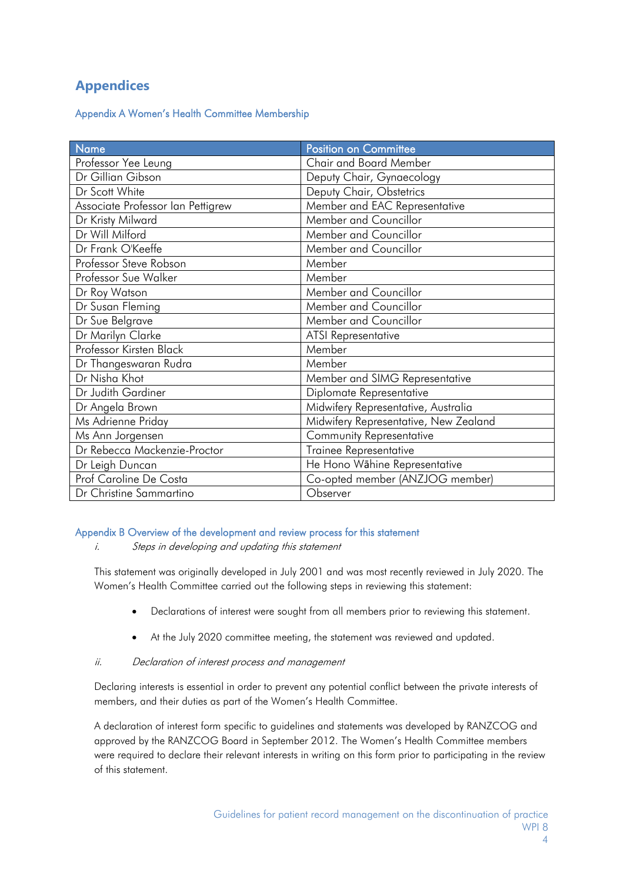## **Appendices**

Appendix A Women's Health Committee Membership

| Name                              | Position on Committee                 |
|-----------------------------------|---------------------------------------|
| Professor Yee Leung               | Chair and Board Member                |
| Dr Gillian Gibson                 | Deputy Chair, Gynaecology             |
| Dr Scott White                    | Deputy Chair, Obstetrics              |
| Associate Professor Ian Pettigrew | Member and EAC Representative         |
| Dr Kristy Milward                 | Member and Councillor                 |
| Dr Will Milford                   | Member and Councillor                 |
| Dr Frank O'Keeffe                 | Member and Councillor                 |
| Professor Steve Robson            | Member                                |
| Professor Sue Walker              | Member                                |
| Dr Roy Watson                     | Member and Councillor                 |
| Dr Susan Fleming                  | Member and Councillor                 |
| Dr Sue Belgrave                   | Member and Councillor                 |
| Dr Marilyn Clarke                 | <b>ATSI Representative</b>            |
| Professor Kirsten Black           | Member                                |
| Dr Thangeswaran Rudra             | Member                                |
| Dr Nisha Khot                     | Member and SIMG Representative        |
| Dr Judith Gardiner                | Diplomate Representative              |
| Dr Angela Brown                   | Midwifery Representative, Australia   |
| Ms Adrienne Priday                | Midwifery Representative, New Zealand |
| Ms Ann Jorgensen                  | Community Representative              |
| Dr Rebecca Mackenzie-Proctor      | Trainee Representative                |
| Dr Leigh Duncan                   | He Hono Wāhine Representative         |
| Prof Caroline De Costa            | Co-opted member (ANZJOG member)       |
| Dr Christine Sammartino           | Observer                              |

### Appendix B Overview of the development and review process for this statement

i. Steps in developing and updating this statement

This statement was originally developed in July 2001 and was most recently reviewed in July 2020. The Women's Health Committee carried out the following steps in reviewing this statement:

- Declarations of interest were sought from all members prior to reviewing this statement.
- At the July 2020 committee meeting, the statement was reviewed and updated.

#### ii. Declaration of interest process and management

Declaring interests is essential in order to prevent any potential conflict between the private interests of members, and their duties as part of the Women's Health Committee.

A declaration of interest form specific to guidelines and statements was developed by RANZCOG and approved by the RANZCOG Board in September 2012. The Women's Health Committee members were required to declare their relevant interests in writing on this form prior to participating in the review of this statement.